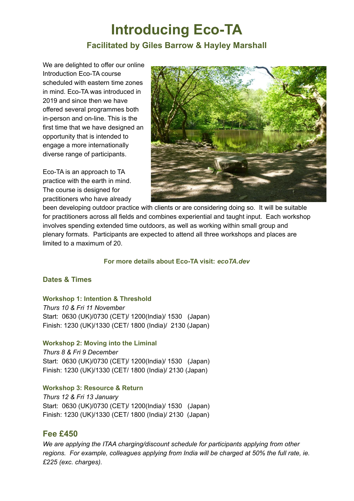# **Introducing Eco-TA Facilitated by Giles Barrow & Hayley Marshall**

We are delighted to offer our online Introduction Eco-TA course scheduled with eastern time zones in mind. Eco-TA was introduced in 2019 and since then we have offered several programmes both in-person and on-line. This is the first time that we have designed an opportunity that is intended to engage a more internationally diverse range of participants.

Eco-TA is an approach to TA practice with the earth in mind. The course is designed for practitioners who have already



been developing outdoor practice with clients or are considering doing so. It will be suitable for practitioners across all fields and combines experiential and taught input. Each workshop involves spending extended time outdoors, as well as working within small group and plenary formats. Participants are expected to attend all three workshops and places are limited to a maximum of 20.

## **For more details about Eco-TA visit:** *ecoTA.dev*

## **Dates & Times**

#### **Workshop 1: Intention & Threshold**

*Thurs 10 & Fri 11 November* Start: 0630 (UK)/0730 (CET)/ 1200(India)/ 1530 (Japan) Finish: 1230 (UK)/1330 (CET/ 1800 (India)/ 2130 (Japan)

#### **Workshop 2: Moving into the Liminal**

*Thurs 8 & Fri 9 December* Start: 0630 (UK)/0730 (CET)/ 1200(India)/ 1530 (Japan) Finish: 1230 (UK)/1330 (CET/ 1800 (India)/ 2130 (Japan)

## **Workshop 3: Resource & Return**

*Thurs 12 & Fri 13 January* Start: 0630 (UK)/0730 (CET)/ 1200(India)/ 1530 (Japan) Finish: 1230 (UK)/1330 (CET/ 1800 (India)/ 2130 (Japan)

## **Fee £450**

*We are applying the ITAA charging/discount schedule for participants applying from other regions. For example, colleagues applying from India will be charged at 50% the full rate, ie. £225 (exc. charges).*